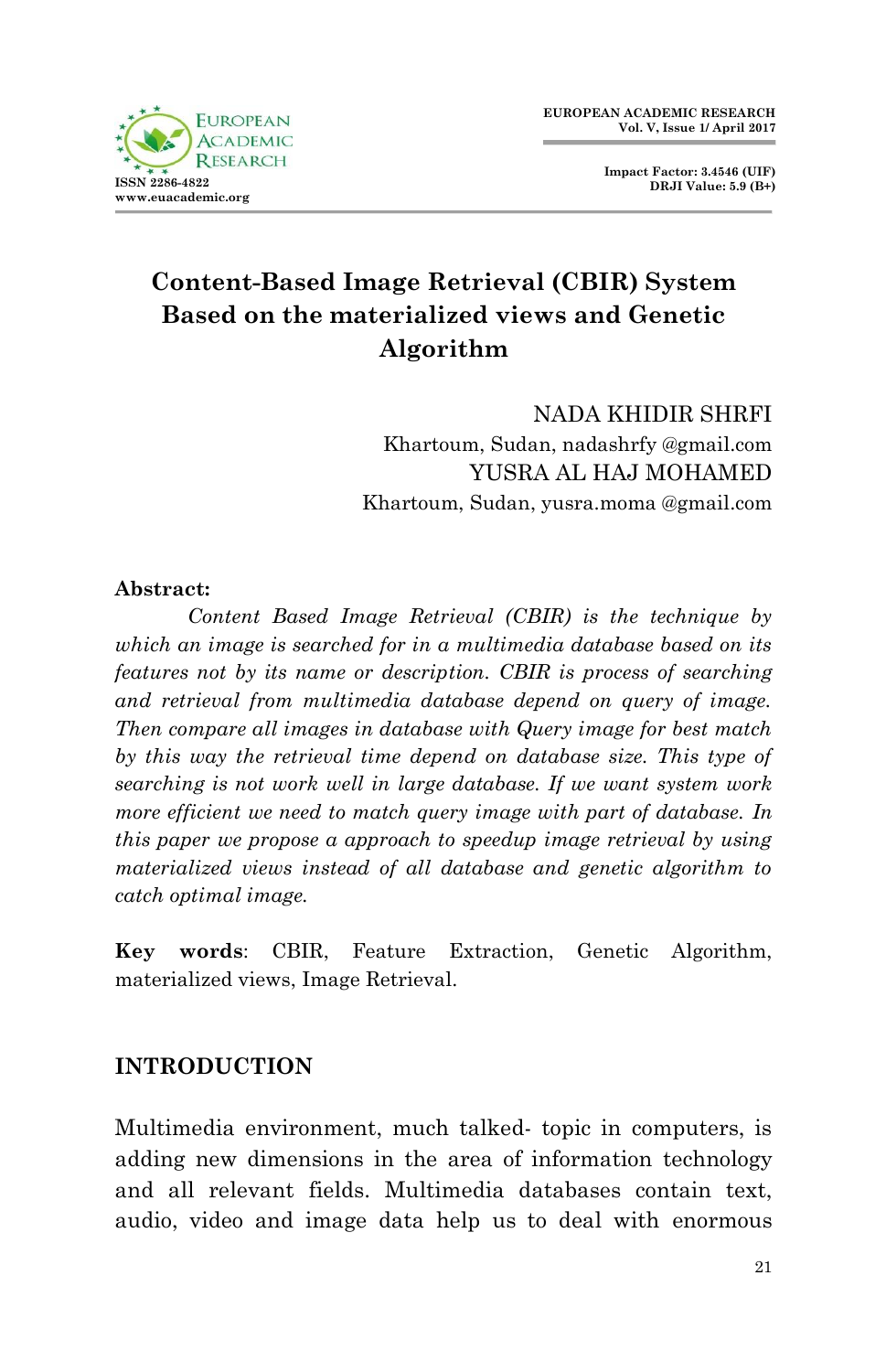

**Impact Factor: 3.4546 (UIF) DRJI Value: 5.9 (B+)**

# **Content-Based Image Retrieval (CBIR) System Based on the materialized views and Genetic Algorithm**

NADA KHIDIR SHRFI Khartoum, Sudan, nadashrfy @gmail.com YUSRA AL HAJ MOHAMED Khartoum, Sudan, yusra.moma @gmail.com

#### **Abstract:**

*Content Based Image Retrieval (CBIR) is the technique by which an image is searched for in a multimedia database based on its features not by its name or description. CBIR is process of searching and retrieval from multimedia database depend on query of image. Then compare all images in database with Query image for best match by this way the retrieval time depend on database size. This type of searching is not work well in large database. If we want system work more efficient we need to match query image with part of database. In this paper we propose a approach to speedup image retrieval by using materialized views instead of all database and genetic algorithm to catch optimal image.*

**Key words**: CBIR, Feature Extraction, Genetic Algorithm, materialized views, Image Retrieval.

#### **INTRODUCTION**

Multimedia environment, much talked- topic in computers, is adding new dimensions in the area of information technology and all relevant fields. Multimedia databases contain text, audio, video and image data help us to deal with enormous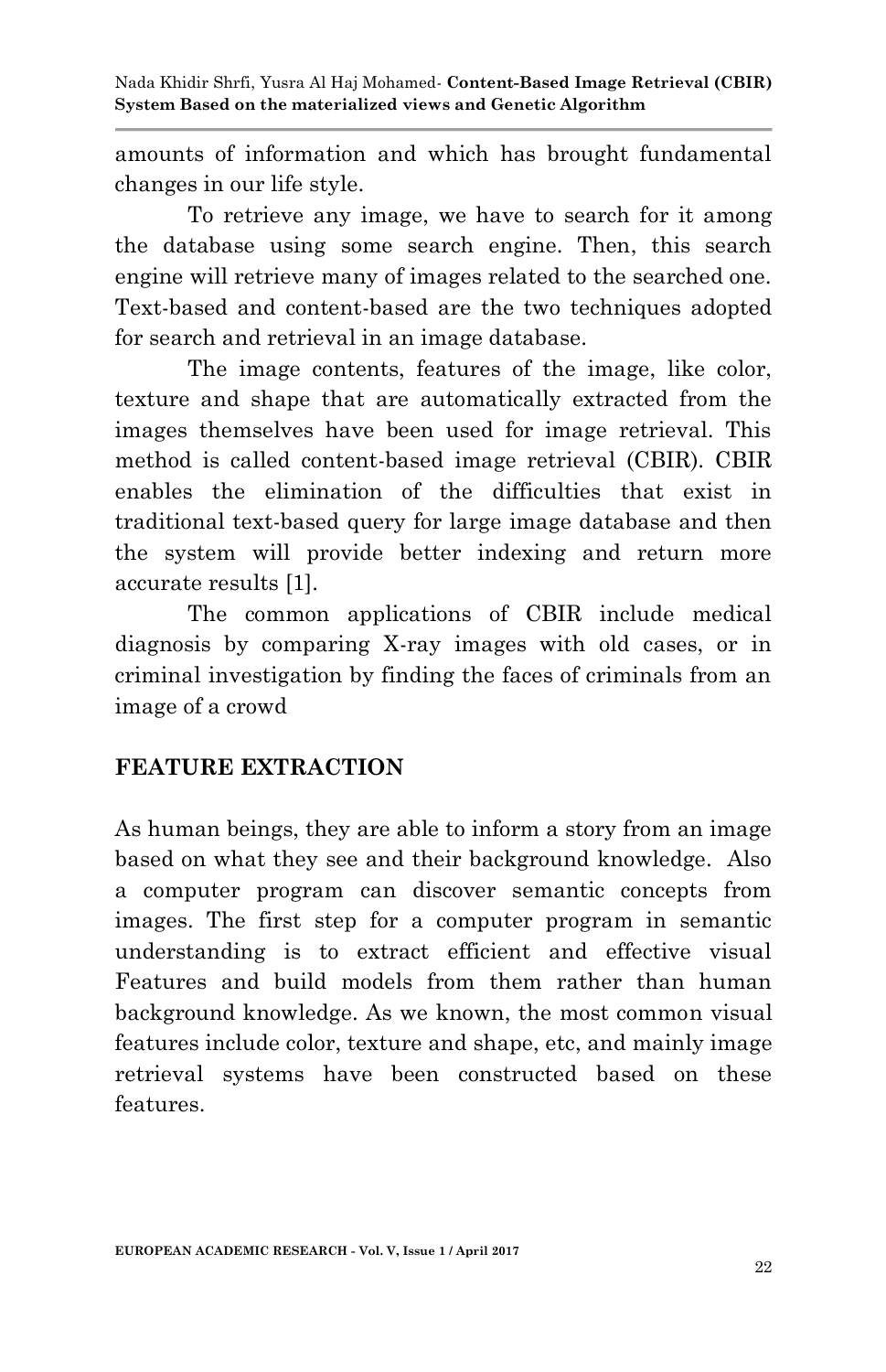amounts of information and which has brought fundamental changes in our life style.

To retrieve any image, we have to search for it among the database using some search engine. Then, this search engine will retrieve many of images related to the searched one. Text-based and content-based are the two techniques adopted for search and retrieval in an image database.

The image contents, features of the image, like color, texture and shape that are automatically extracted from the images themselves have been used for image retrieval. This method is called content-based image retrieval (CBIR). CBIR enables the elimination of the difficulties that exist in traditional text-based query for large image database and then the system will provide better indexing and return more accurate results [1].

The common applications of CBIR include medical diagnosis by comparing X-ray images with old cases, or in criminal investigation by finding the faces of criminals from an image of a crowd

#### **FEATURE EXTRACTION**

As human beings, they are able to inform a story from an image based on what they see and their background knowledge. Also a computer program can discover semantic concepts from images. The first step for a computer program in semantic understanding is to extract efficient and effective visual Features and build models from them rather than human background knowledge. As we known, the most common visual features include color, texture and shape, etc, and mainly image retrieval systems have been constructed based on these features.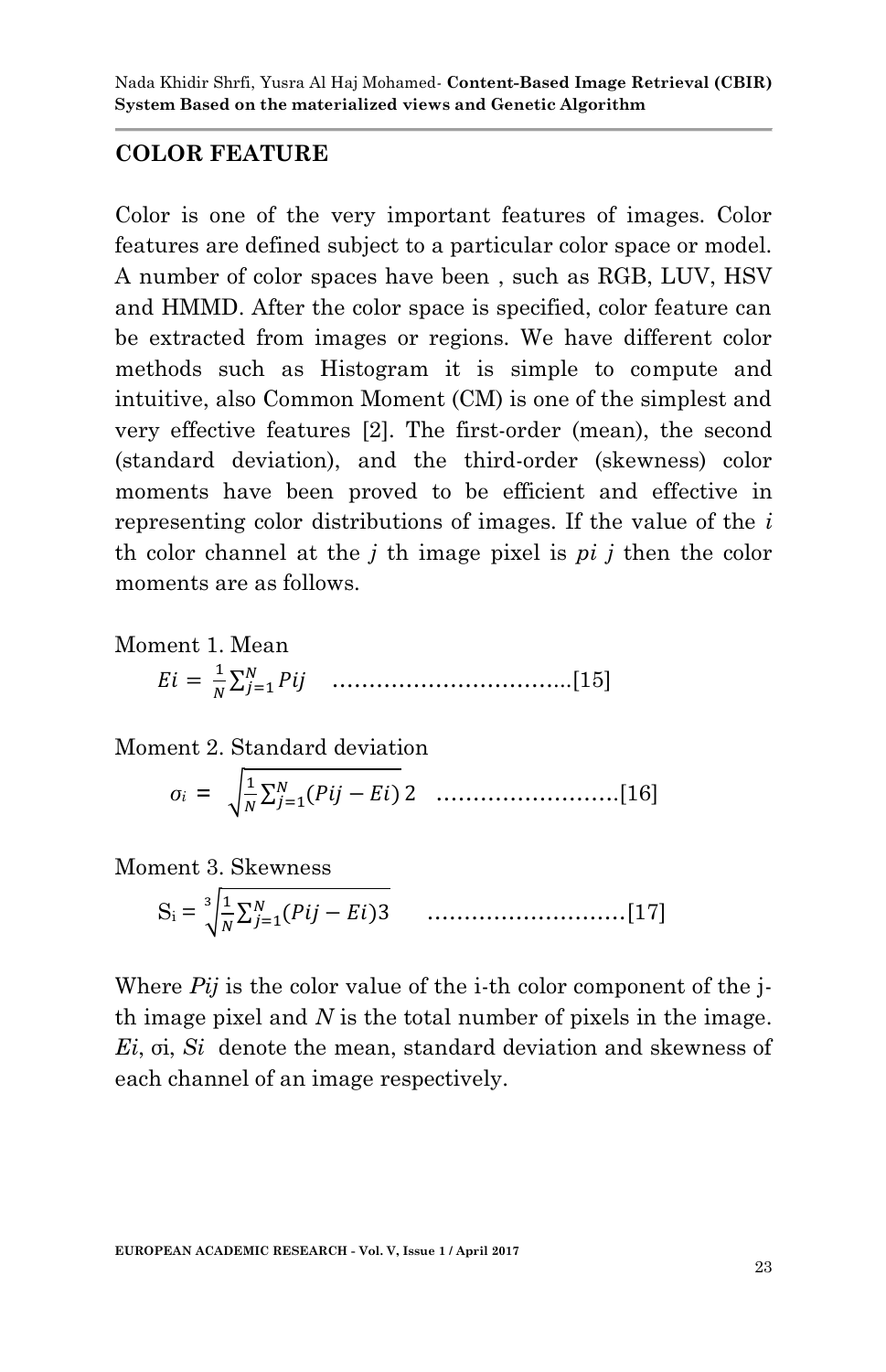#### **COLOR FEATURE**

Color is one of the very important features of images. Color features are defined subject to a particular color space or model. A number of color spaces have been , such as RGB, LUV, HSV and HMMD. After the color space is specified, color feature can be extracted from images or regions. We have different color methods such as Histogram it is simple to compute and intuitive, also Common Moment (CM) is one of the simplest and very effective features [2]. The first-order (mean), the second (standard deviation), and the third-order (skewness) color moments have been proved to be efficient and effective in representing color distributions of images. If the value of the *i* th color channel at the *j* th image pixel is *pi j* then the color moments are as follows.

Moment 1. Mean  $\mathbf{1}$ ∑ …………………………...[15]

Moment 2. Standard deviation

 *σ<sup>i</sup>* **=** √ ∑ …………………….[16]

Moment 3. Skewness

 $S_i = \frac{3}{1} \frac{1}{N}$  $\frac{1}{N}\sum_{j=1}^{N}$ ………………………[17]

Where *Pij* is the color value of the i-th color component of the jth image pixel and *N* is the total number of pixels in the image. *Ei*, σi, *Si* denote the mean, standard deviation and skewness of each channel of an image respectively.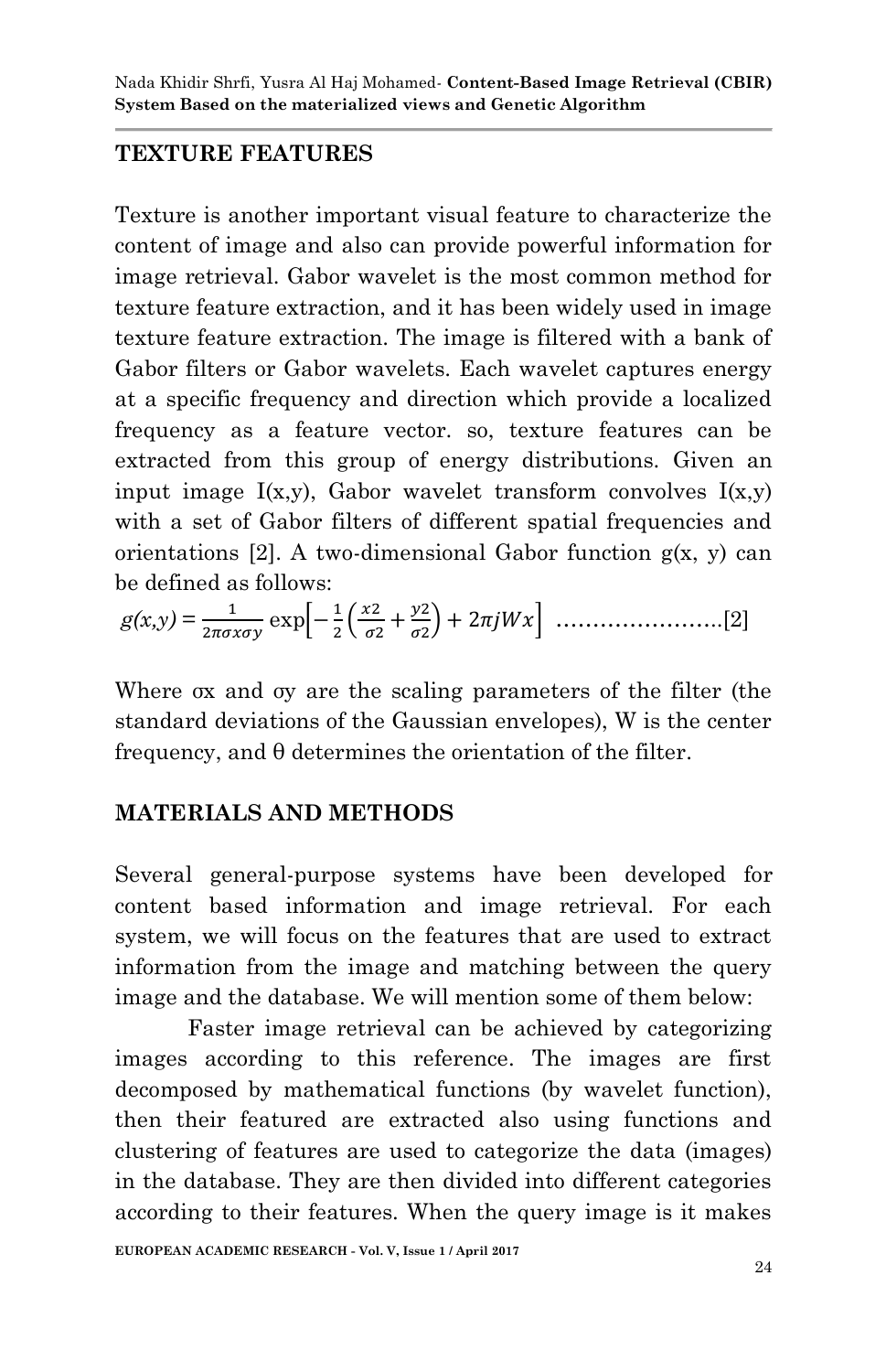# **TEXTURE FEATURES**

Texture is another important visual feature to characterize the content of image and also can provide powerful information for image retrieval. Gabor wavelet is the most common method for texture feature extraction, and it has been widely used in image texture feature extraction. The image is filtered with a bank of Gabor filters or Gabor wavelets. Each wavelet captures energy at a specific frequency and direction which provide a localized frequency as a feature vector. so, texture features can be extracted from this group of energy distributions. Given an input image  $I(x,y)$ , Gabor wavelet transform convolves  $I(x,y)$ with a set of Gabor filters of different spatial frequencies and orientations [2]. A two-dimensional Gabor function  $g(x, y)$  can be defined as follows:

*g(x,y)* = exp\* ( ) + …………………..[2]

Where σx and σy are the scaling parameters of the filter (the standard deviations of the Gaussian envelopes), W is the center frequency, and θ determines the orientation of the filter.

## **MATERIALS AND METHODS**

Several general-purpose systems have been developed for content based information and image retrieval. For each system, we will focus on the features that are used to extract information from the image and matching between the query image and the database. We will mention some of them below:

Faster image retrieval can be achieved by categorizing images according to this reference. The images are first decomposed by mathematical functions (by wavelet function), then their featured are extracted also using functions and clustering of features are used to categorize the data (images) in the database. They are then divided into different categories according to their features. When the query image is it makes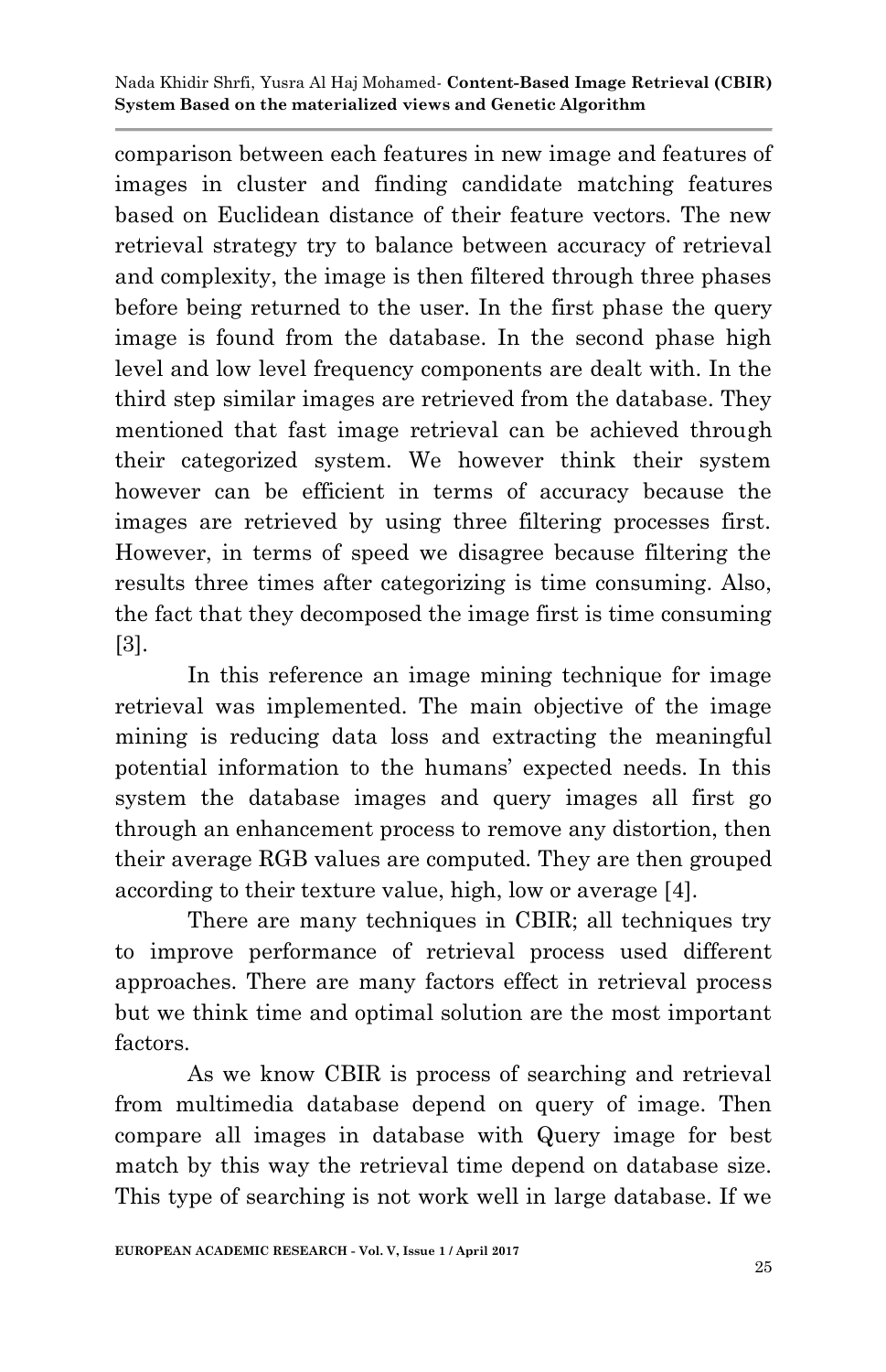comparison between each features in new image and features of images in cluster and finding candidate matching features based on Euclidean distance of their feature vectors. The new retrieval strategy try to balance between accuracy of retrieval and complexity, the image is then filtered through three phases before being returned to the user. In the first phase the query image is found from the database. In the second phase high level and low level frequency components are dealt with. In the third step similar images are retrieved from the database. They mentioned that fast image retrieval can be achieved through their categorized system. We however think their system however can be efficient in terms of accuracy because the images are retrieved by using three filtering processes first. However, in terms of speed we disagree because filtering the results three times after categorizing is time consuming. Also, the fact that they decomposed the image first is time consuming [3].

In this reference an image mining technique for image retrieval was implemented. The main objective of the image mining is reducing data loss and extracting the meaningful potential information to the humans' expected needs. In this system the database images and query images all first go through an enhancement process to remove any distortion, then their average RGB values are computed. They are then grouped according to their texture value, high, low or average [4].

There are many techniques in CBIR; all techniques try to improve performance of retrieval process used different approaches. There are many factors effect in retrieval process but we think time and optimal solution are the most important factors.

As we know CBIR is process of searching and retrieval from multimedia database depend on query of image. Then compare all images in database with Query image for best match by this way the retrieval time depend on database size. This type of searching is not work well in large database. If we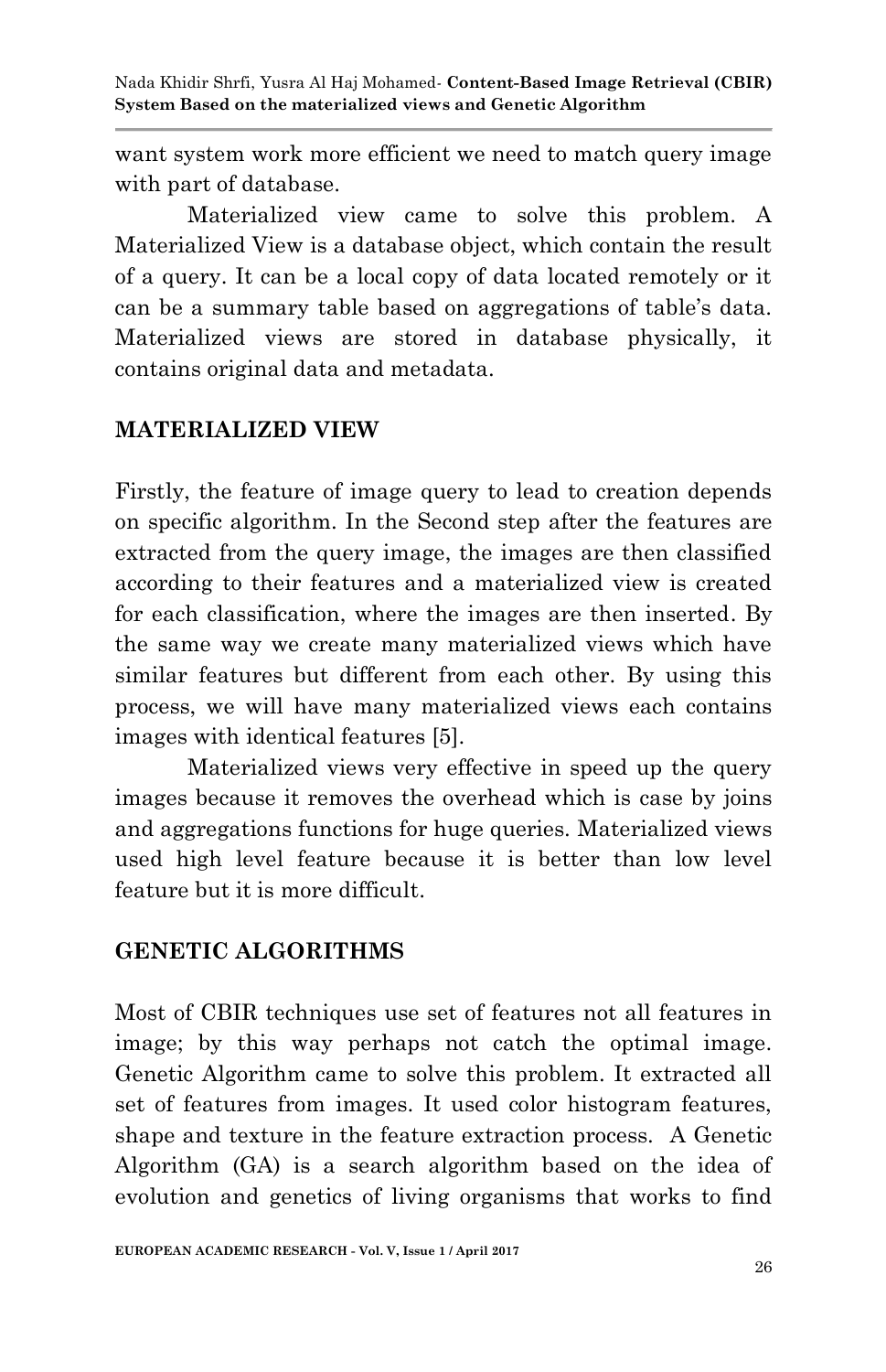want system work more efficient we need to match query image with part of database.

Materialized view came to solve this problem. A Materialized View is a database object, which contain the result of a query. It can be a local copy of data located remotely or it can be a summary table based on aggregations of table's data. Materialized views are stored in database physically, it contains original data and metadata.

#### **MATERIALIZED VIEW**

Firstly, the feature of image query to lead to creation depends on specific algorithm. In the Second step after the features are extracted from the query image, the images are then classified according to their features and a materialized view is created for each classification, where the images are then inserted. By the same way we create many materialized views which have similar features but different from each other. By using this process, we will have many materialized views each contains images with identical features [5].

Materialized views very effective in speed up the query images because it removes the overhead which is case by joins and aggregations functions for huge queries. Materialized views used high level feature because it is better than low level feature but it is more difficult.

#### **GENETIC ALGORITHMS**

Most of CBIR techniques use set of features not all features in image; by this way perhaps not catch the optimal image. Genetic Algorithm came to solve this problem. It extracted all set of features from images. It used color histogram features, shape and texture in the feature extraction process. A Genetic Algorithm (GA) is a search algorithm based on the idea of evolution and genetics of living organisms that works to find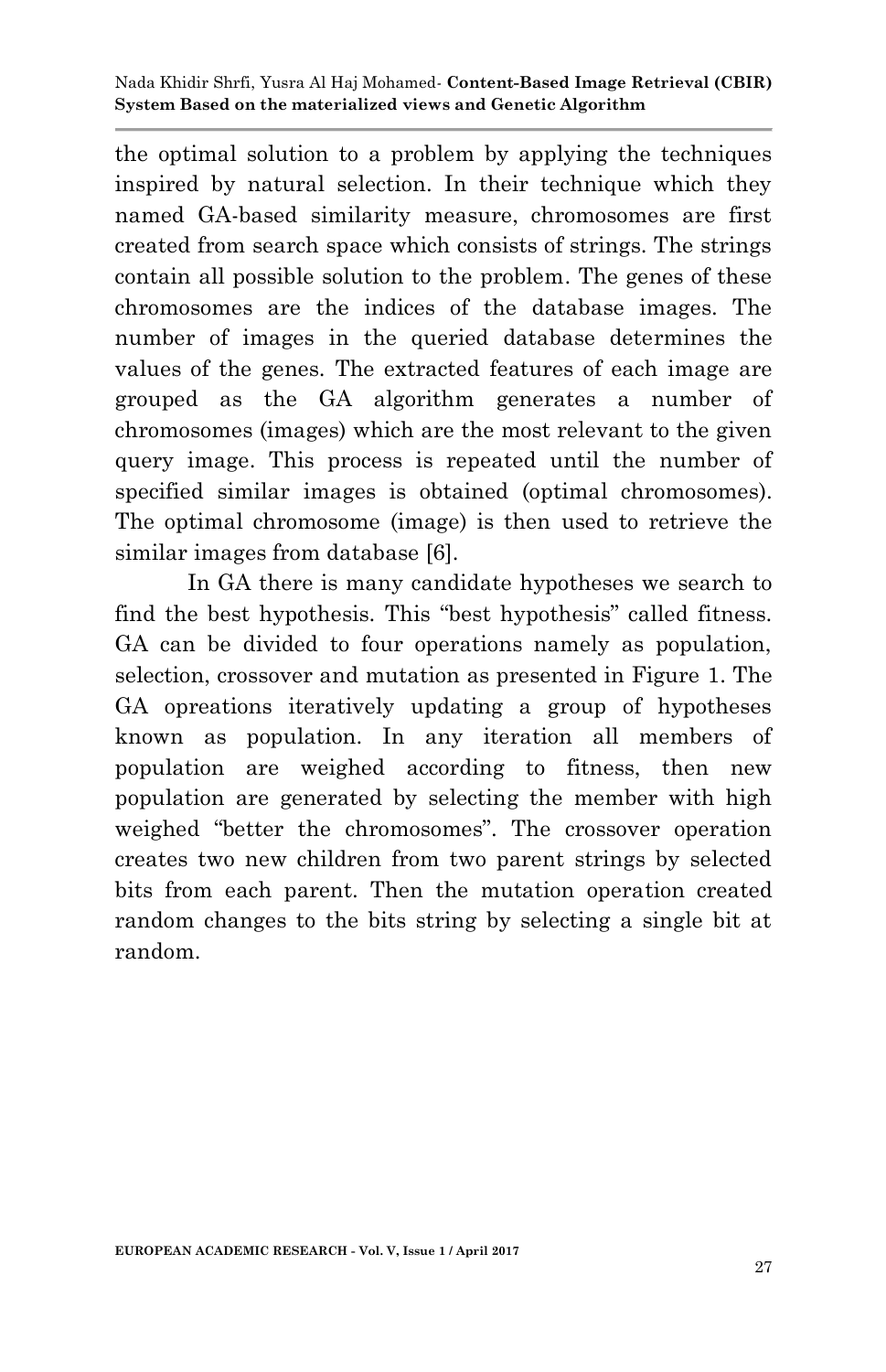the optimal solution to a problem by applying the techniques inspired by natural selection. In their technique which they named GA-based similarity measure, chromosomes are first created from search space which consists of strings. The strings contain all possible solution to the problem. The genes of these chromosomes are the indices of the database images. The number of images in the queried database determines the values of the genes. The extracted features of each image are grouped as the GA algorithm generates a number of chromosomes (images) which are the most relevant to the given query image. This process is repeated until the number of specified similar images is obtained (optimal chromosomes). The optimal chromosome (image) is then used to retrieve the similar images from database [6].

In GA there is many candidate hypotheses we search to find the best hypothesis. This "best hypothesis" called fitness. GA can be divided to four operations namely as population, selection, crossover and mutation as presented in Figure 1. The GA opreations iteratively updating a group of hypotheses known as population. In any iteration all members of population are weighed according to fitness, then new population are generated by selecting the member with high weighed "better the chromosomes". The crossover operation creates two new children from two parent strings by selected bits from each parent. Then the mutation operation created random changes to the bits string by selecting a single bit at random.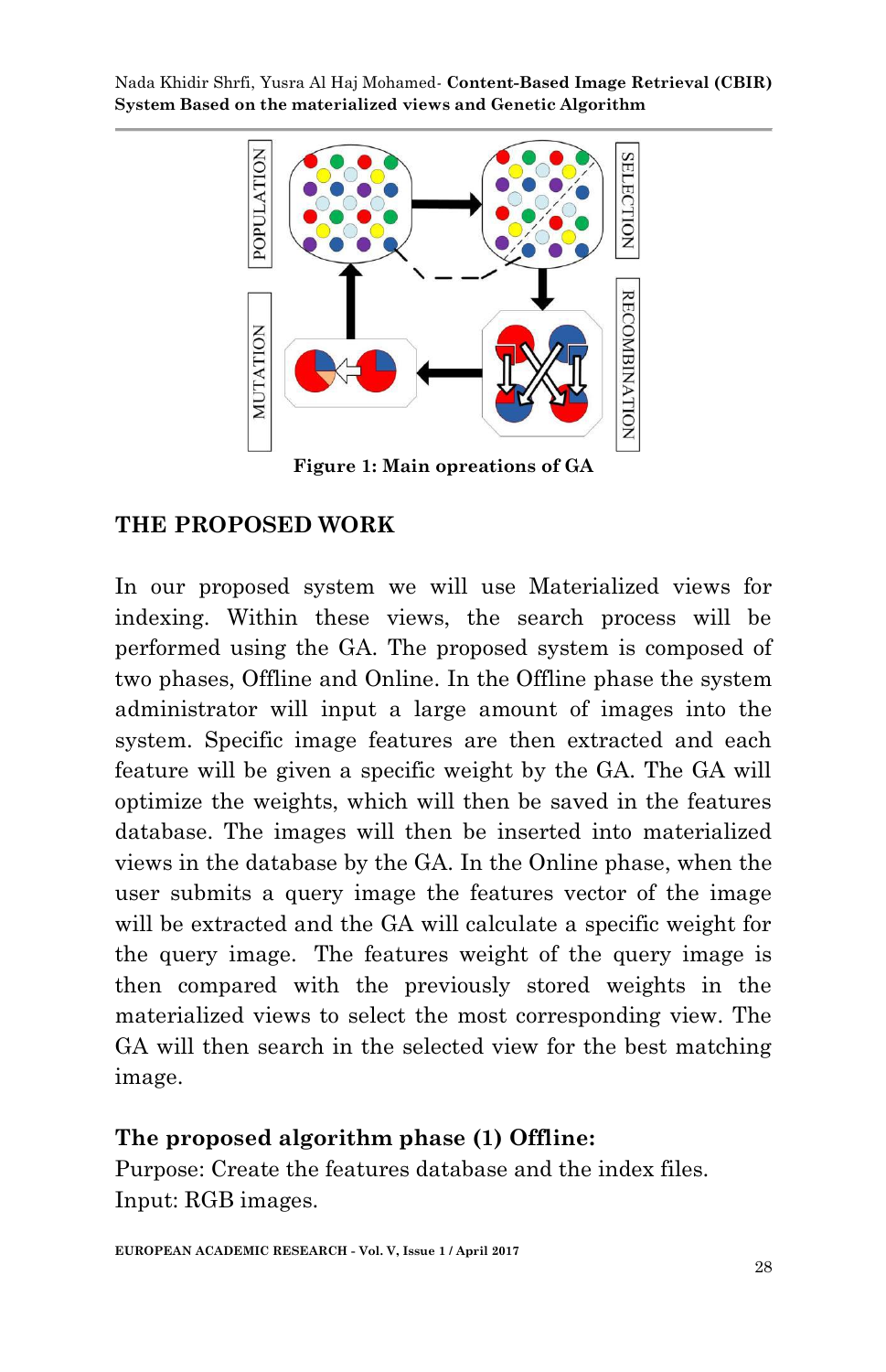

**Figure 1: Main opreations of GA**

## **THE PROPOSED WORK**

In our proposed system we will use Materialized views for indexing. Within these views, the search process will be performed using the GA. The proposed system is composed of two phases, Offline and Online. In the Offline phase the system administrator will input a large amount of images into the system. Specific image features are then extracted and each feature will be given a specific weight by the GA. The GA will optimize the weights, which will then be saved in the features database. The images will then be inserted into materialized views in the database by the GA. In the Online phase, when the user submits a query image the features vector of the image will be extracted and the GA will calculate a specific weight for the query image. The features weight of the query image is then compared with the previously stored weights in the materialized views to select the most corresponding view. The GA will then search in the selected view for the best matching image.

#### **The proposed algorithm phase (1) Offline:**

Purpose: Create the features database and the index files. Input: RGB images.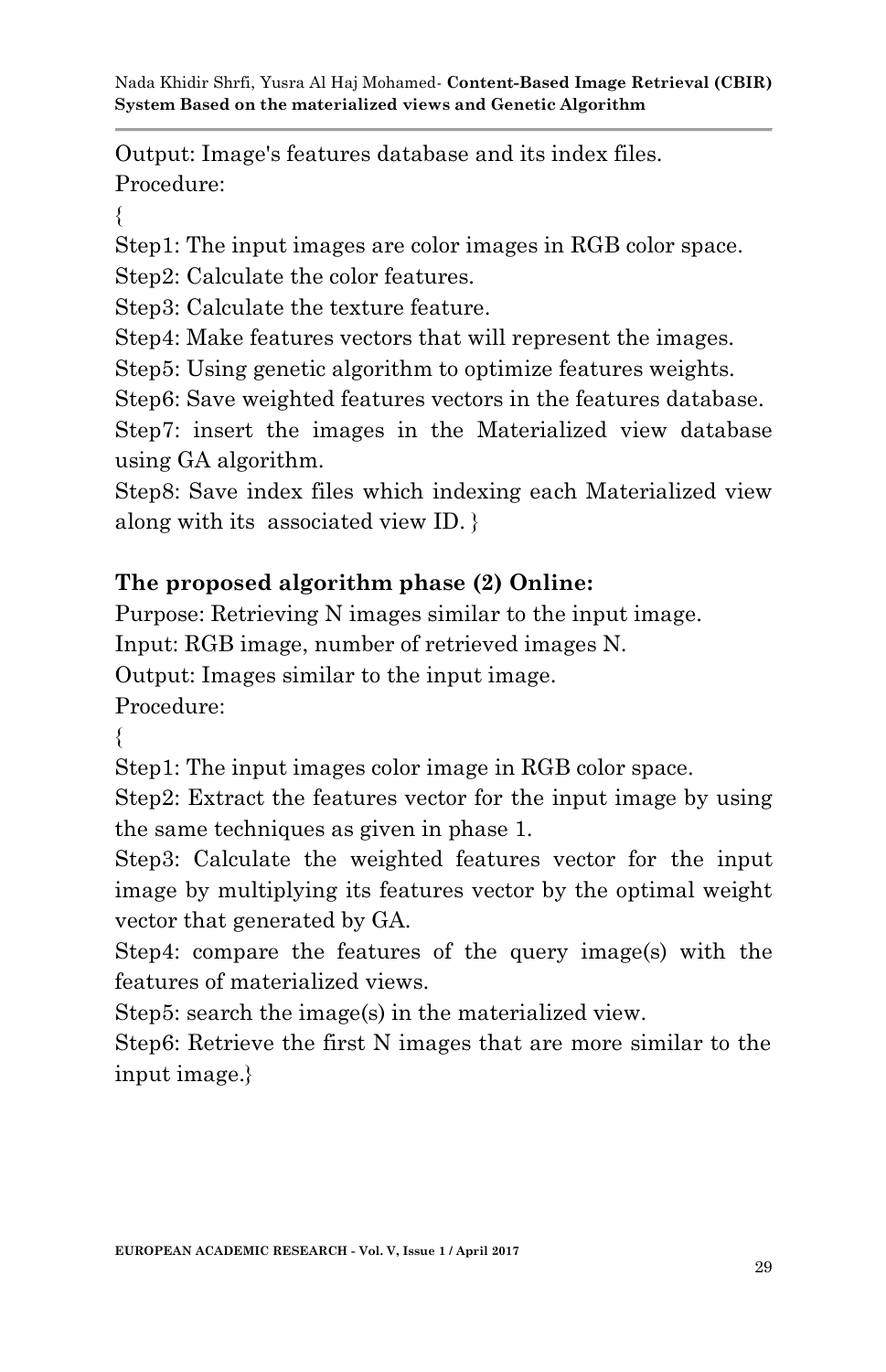Output: Image's features database and its index files. Procedure:

{

Step1: The input images are color images in RGB color space.

Step2: Calculate the color features.

Step3: Calculate the texture feature.

Step4: Make features vectors that will represent the images.

Step5: Using genetic algorithm to optimize features weights.

Step6: Save weighted features vectors in the features database.

Step7: insert the images in the Materialized view database using GA algorithm.

Step8: Save index files which indexing each Materialized view along with its associated view ID. }

# **The proposed algorithm phase (2) Online:**

Purpose: Retrieving N images similar to the input image.

Input: RGB image, number of retrieved images N.

Output: Images similar to the input image.

Procedure:

{

Step1: The input images color image in RGB color space.

Step2: Extract the features vector for the input image by using the same techniques as given in phase 1.

Step3: Calculate the weighted features vector for the input image by multiplying its features vector by the optimal weight vector that generated by GA.

Step4: compare the features of the query image(s) with the features of materialized views.

Step5: search the image(s) in the materialized view.

Step6: Retrieve the first N images that are more similar to the input image.}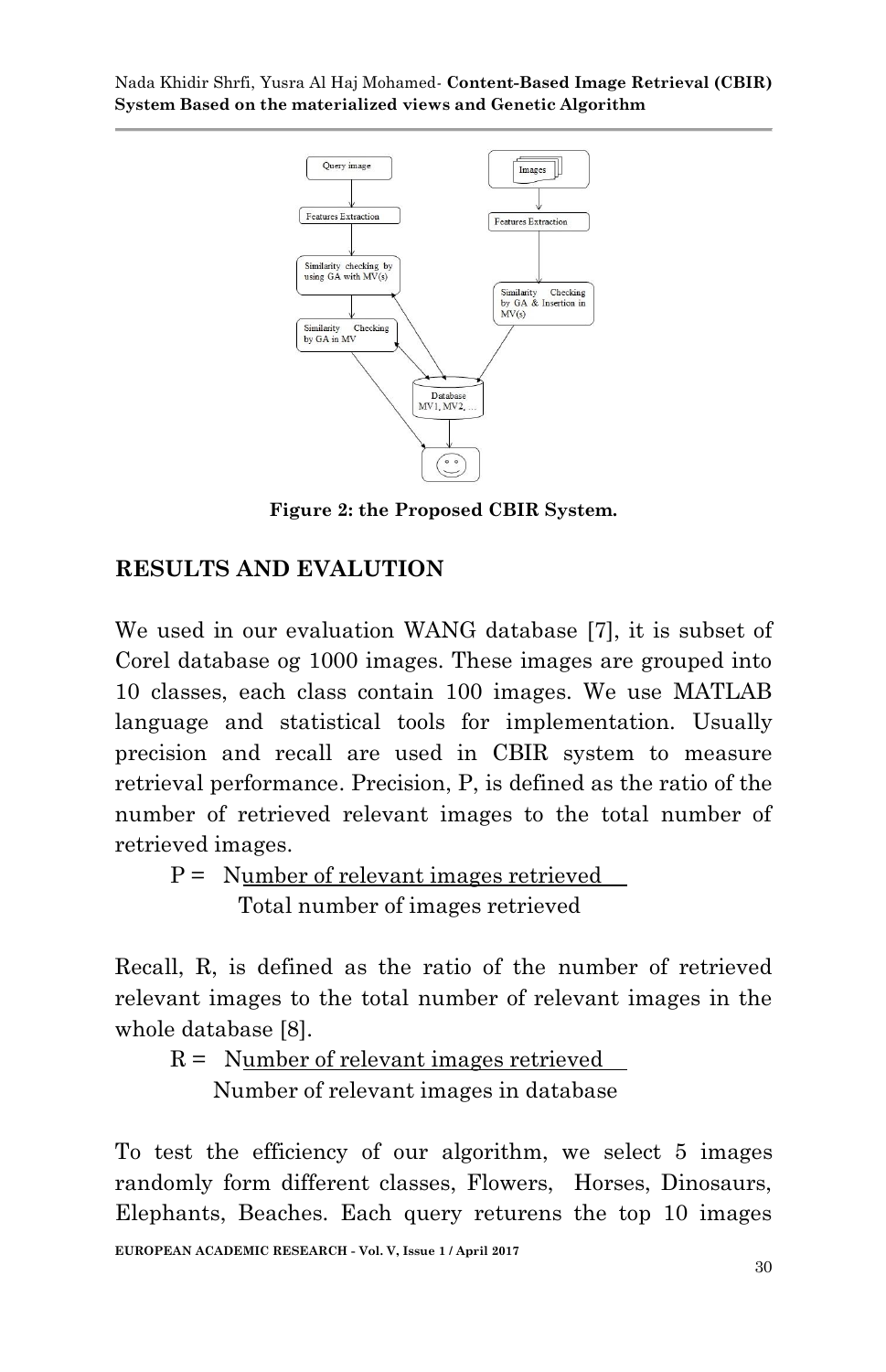

**Figure 2: the Proposed CBIR System.**

# **RESULTS AND EVALUTION**

We used in our evaluation WANG database [7], it is subset of Corel database og 1000 images. These images are grouped into 10 classes, each class contain 100 images. We use MATLAB language and statistical tools for implementation. Usually precision and recall are used in CBIR system to measure retrieval performance. Precision, P, is defined as the ratio of the number of retrieved relevant images to the total number of retrieved images.

 P = Number of relevant images retrieved Total number of images retrieved

Recall, R, is defined as the ratio of the number of retrieved relevant images to the total number of relevant images in the whole database [8].

```
R =Number of relevant images retrieved
Number of relevant images in database
```
To test the efficiency of our algorithm, we select 5 images randomly form different classes, Flowers, Horses, Dinosaurs, Elephants, Beaches. Each query returens the top 10 images

**EUROPEAN ACADEMIC RESEARCH - Vol. V, Issue 1 / April 2017**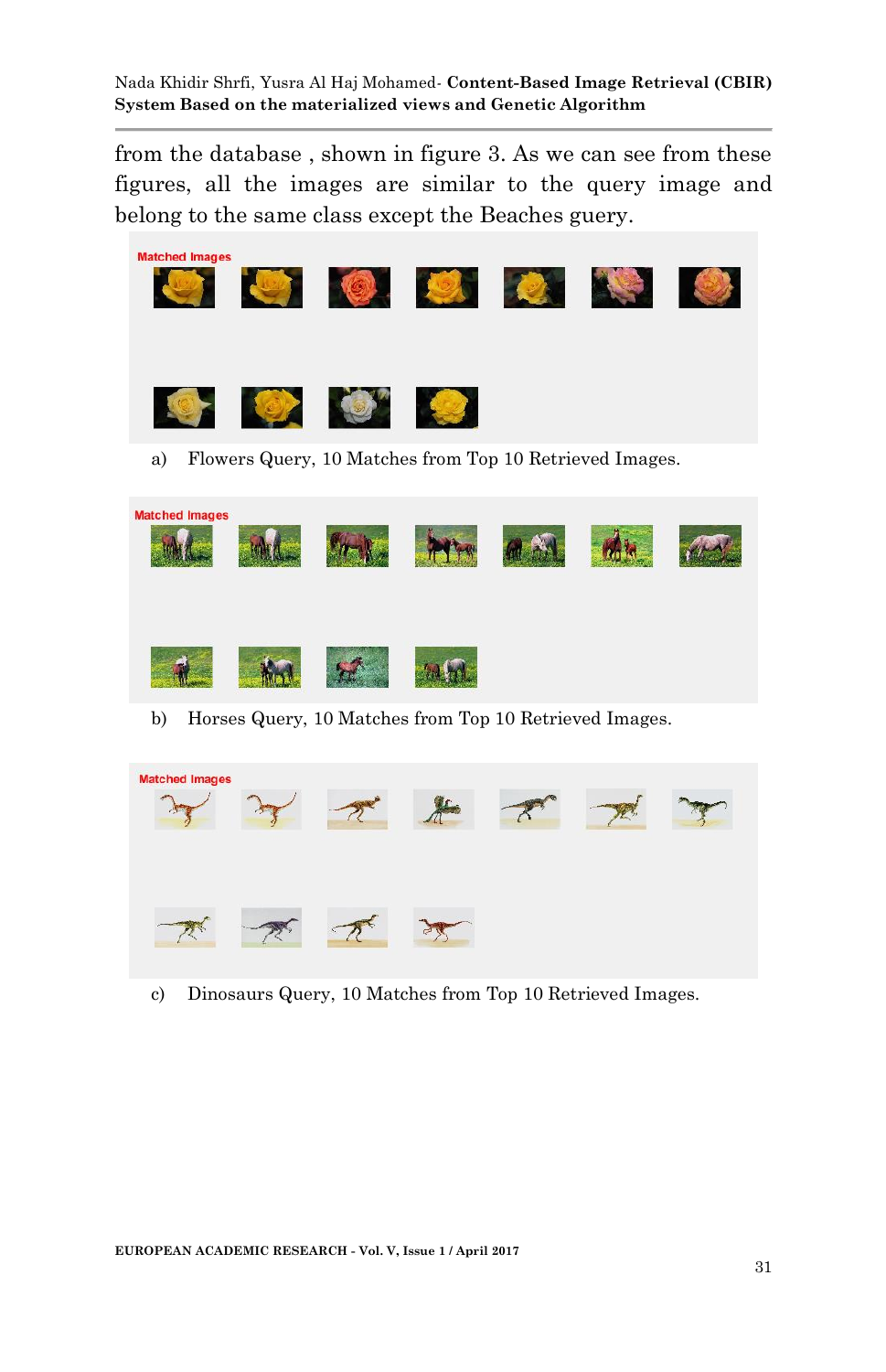from the database , shown in figure 3. As we can see from these figures, all the images are similar to the query image and belong to the same class except the Beaches guery.

| <b>Matched Images</b> |           | DE CARACTER                                             |  |  |
|-----------------------|-----------|---------------------------------------------------------|--|--|
| $19 -$                | <b>DE</b> |                                                         |  |  |
| a)                    |           | Flowers Query, 10 Matches from Top 10 Retrieved Images. |  |  |

| <b>Matched Images</b> |  |  |  |
|-----------------------|--|--|--|
|                       |  |  |  |

b) Horses Query, 10 Matches from Top 10 Retrieved Images.

| <b>Matched Images</b> |  |  |  |
|-----------------------|--|--|--|
|                       |  |  |  |

c) Dinosaurs Query, 10 Matches from Top 10 Retrieved Images.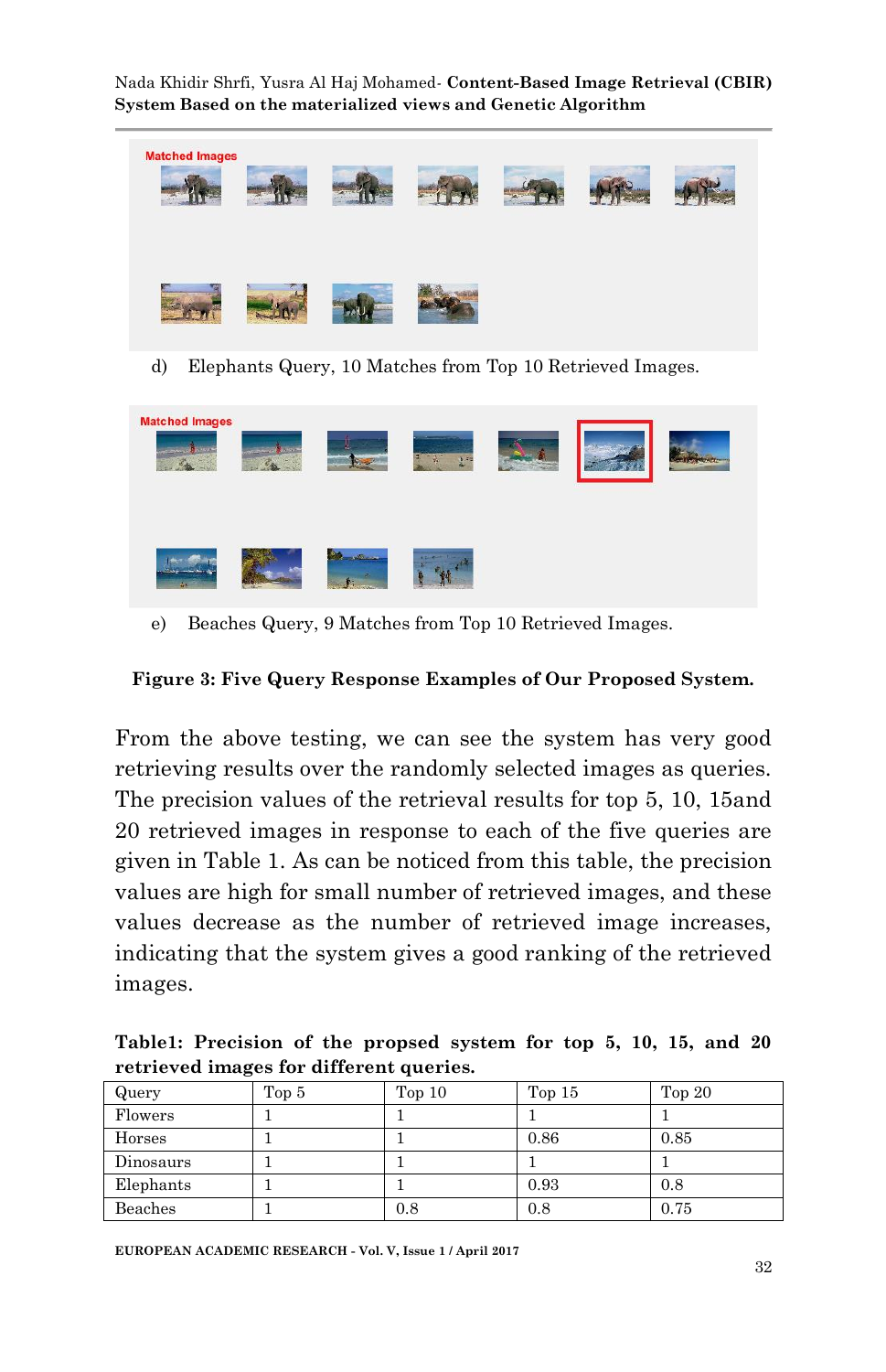

d) Elephants Query, 10 Matches from Top 10 Retrieved Images.

| <b>Matched Images</b> | <b>CRAIG</b><br><b>Contract</b> |                 | ×<br><b>CONTRACTOR</b><br>$\frac{1}{2}$ | <b><i>Charles Company</i></b><br>w. |  |
|-----------------------|---------------------------------|-----------------|-----------------------------------------|-------------------------------------|--|
|                       |                                 | <b>Saltings</b> | <b>Alternative Company</b>              |                                     |  |

e) Beaches Query, 9 Matches from Top 10 Retrieved Images.

#### **Figure 3: Five Query Response Examples of Our Proposed System.**

From the above testing, we can see the system has very good retrieving results over the randomly selected images as queries. The precision values of the retrieval results for top 5, 10, 15and 20 retrieved images in response to each of the five queries are given in Table 1. As can be noticed from this table, the precision values are high for small number of retrieved images, and these values decrease as the number of retrieved image increases, indicating that the system gives a good ranking of the retrieved images.

**Table1: Precision of the propsed system for top 5, 10, 15, and 20 retrieved images for different queries.**

| Query     | Top 5 | Top <sub>10</sub> | Top $15$ | Top $20$ |
|-----------|-------|-------------------|----------|----------|
| Flowers   |       |                   |          |          |
| Horses    |       |                   | 0.86     | 0.85     |
| Dinosaurs |       |                   |          |          |
| Elephants |       |                   | 0.93     | 0.8      |
| Beaches   |       | 0.8               | 0.8      | 0.75     |

**EUROPEAN ACADEMIC RESEARCH - Vol. V, Issue 1 / April 2017**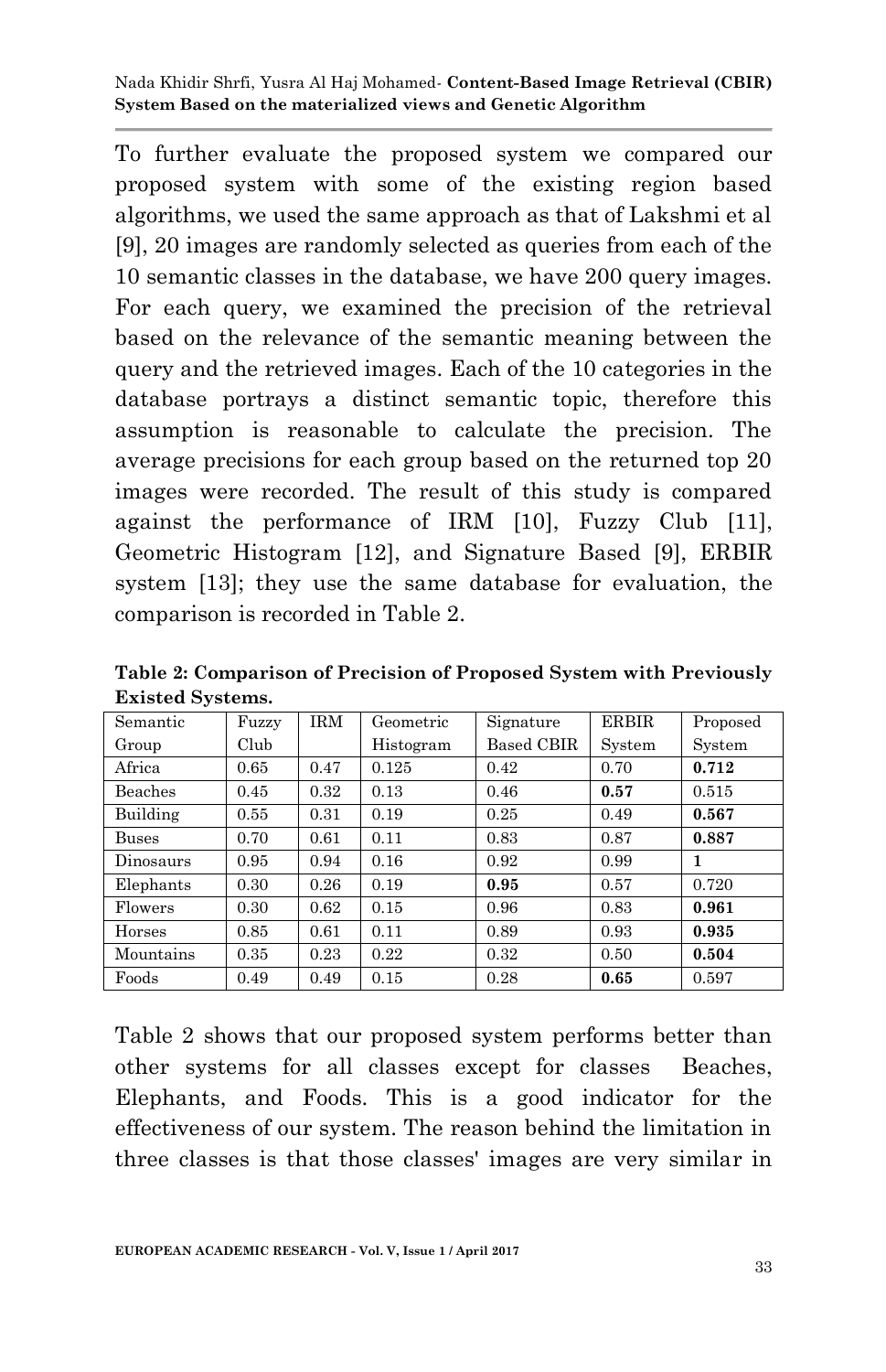To further evaluate the proposed system we compared our proposed system with some of the existing region based algorithms, we used the same approach as that of Lakshmi et al [9], 20 images are randomly selected as queries from each of the 10 semantic classes in the database, we have 200 query images. For each query, we examined the precision of the retrieval based on the relevance of the semantic meaning between the query and the retrieved images. Each of the 10 categories in the database portrays a distinct semantic topic, therefore this assumption is reasonable to calculate the precision. The average precisions for each group based on the returned top 20 images were recorded. The result of this study is compared against the performance of IRM [10], Fuzzy Club [11], Geometric Histogram [12], and Signature Based [9], ERBIR system [13]; they use the same database for evaluation, the comparison is recorded in Table 2.

| Semantic     | Fuzzy | <b>IRM</b> | Geometric | Signature  | <b>ERBIR</b> | Proposed |
|--------------|-------|------------|-----------|------------|--------------|----------|
| Group        | Club  |            | Histogram | Based CBIR | System       | System   |
| Africa       | 0.65  | 0.47       | 0.125     | 0.42       | 0.70         | 0.712    |
| Beaches      | 0.45  | 0.32       | 0.13      | 0.46       | 0.57         | 0.515    |
| Building     | 0.55  | 0.31       | 0.19      | 0.25       | 0.49         | 0.567    |
| <b>Buses</b> | 0.70  | 0.61       | 0.11      | 0.83       | 0.87         | 0.887    |
| Dinosaurs    | 0.95  | 0.94       | 0.16      | 0.92       | 0.99         | 1        |
| Elephants    | 0.30  | 0.26       | 0.19      | 0.95       | 0.57         | 0.720    |
| Flowers      | 0.30  | 0.62       | 0.15      | 0.96       | 0.83         | 0.961    |
| Horses       | 0.85  | 0.61       | 0.11      | 0.89       | 0.93         | 0.935    |
| Mountains    | 0.35  | 0.23       | 0.22      | 0.32       | 0.50         | 0.504    |
| Foods        | 0.49  | 0.49       | 0.15      | 0.28       | 0.65         | 0.597    |

**Table 2: Comparison of Precision of Proposed System with Previously Existed Systems.**

Table 2 shows that our proposed system performs better than other systems for all classes except for classes Beaches, Elephants, and Foods. This is a good indicator for the effectiveness of our system. The reason behind the limitation in three classes is that those classes' images are very similar in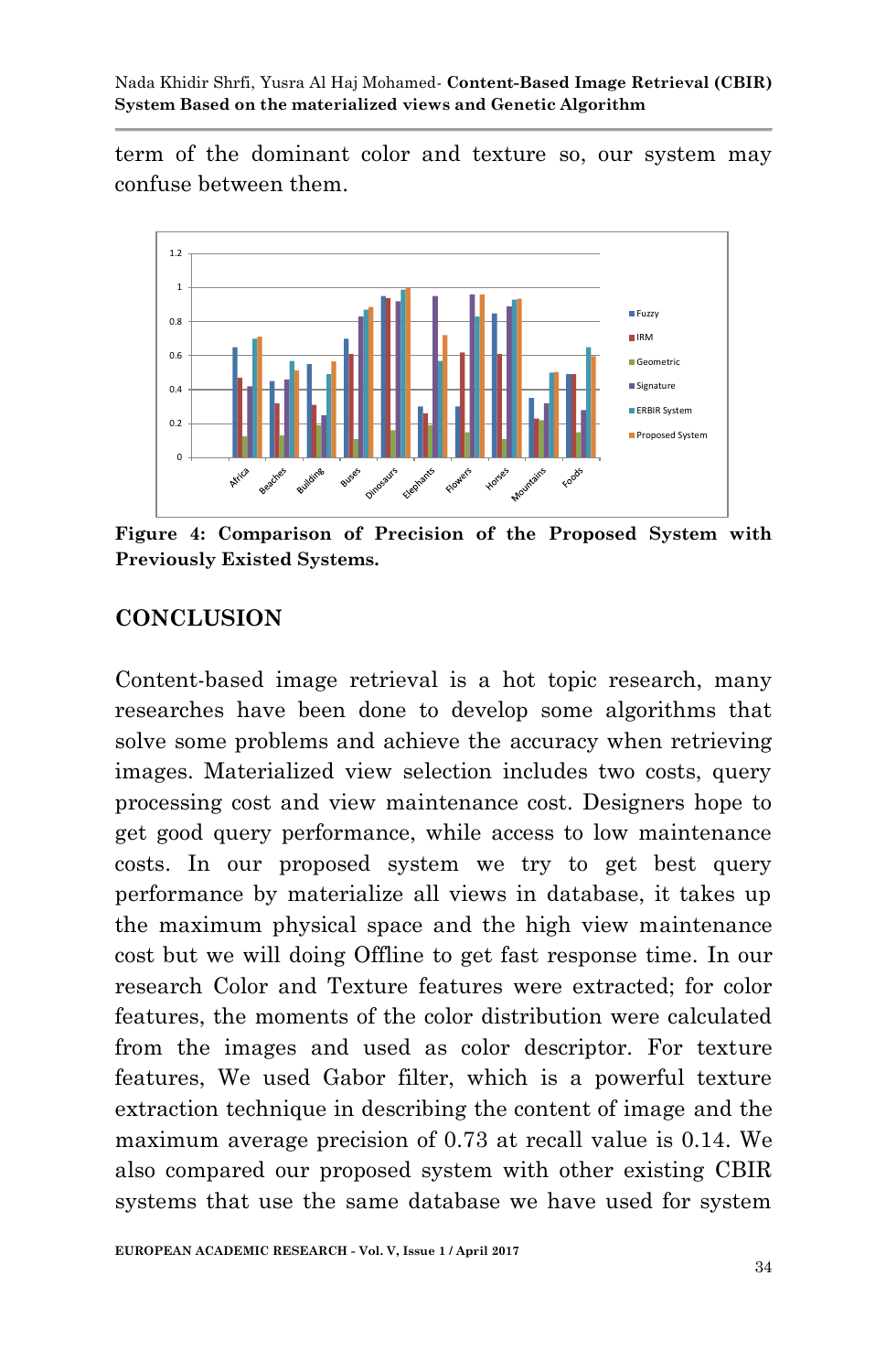term of the dominant color and texture so, our system may confuse between them.



**Figure 4: Comparison of Precision of the Proposed System with Previously Existed Systems.**

### **CONCLUSION**

Content-based image retrieval is a hot topic research, many researches have been done to develop some algorithms that solve some problems and achieve the accuracy when retrieving images. Materialized view selection includes two costs, query processing cost and view maintenance cost. Designers hope to get good query performance, while access to low maintenance costs. In our proposed system we try to get best query performance by materialize all views in database, it takes up the maximum physical space and the high view maintenance cost but we will doing Offline to get fast response time. In our research Color and Texture features were extracted; for color features, the moments of the color distribution were calculated from the images and used as color descriptor. For texture features, We used Gabor filter, which is a powerful texture extraction technique in describing the content of image and the maximum average precision of 0.73 at recall value is 0.14. We also compared our proposed system with other existing CBIR systems that use the same database we have used for system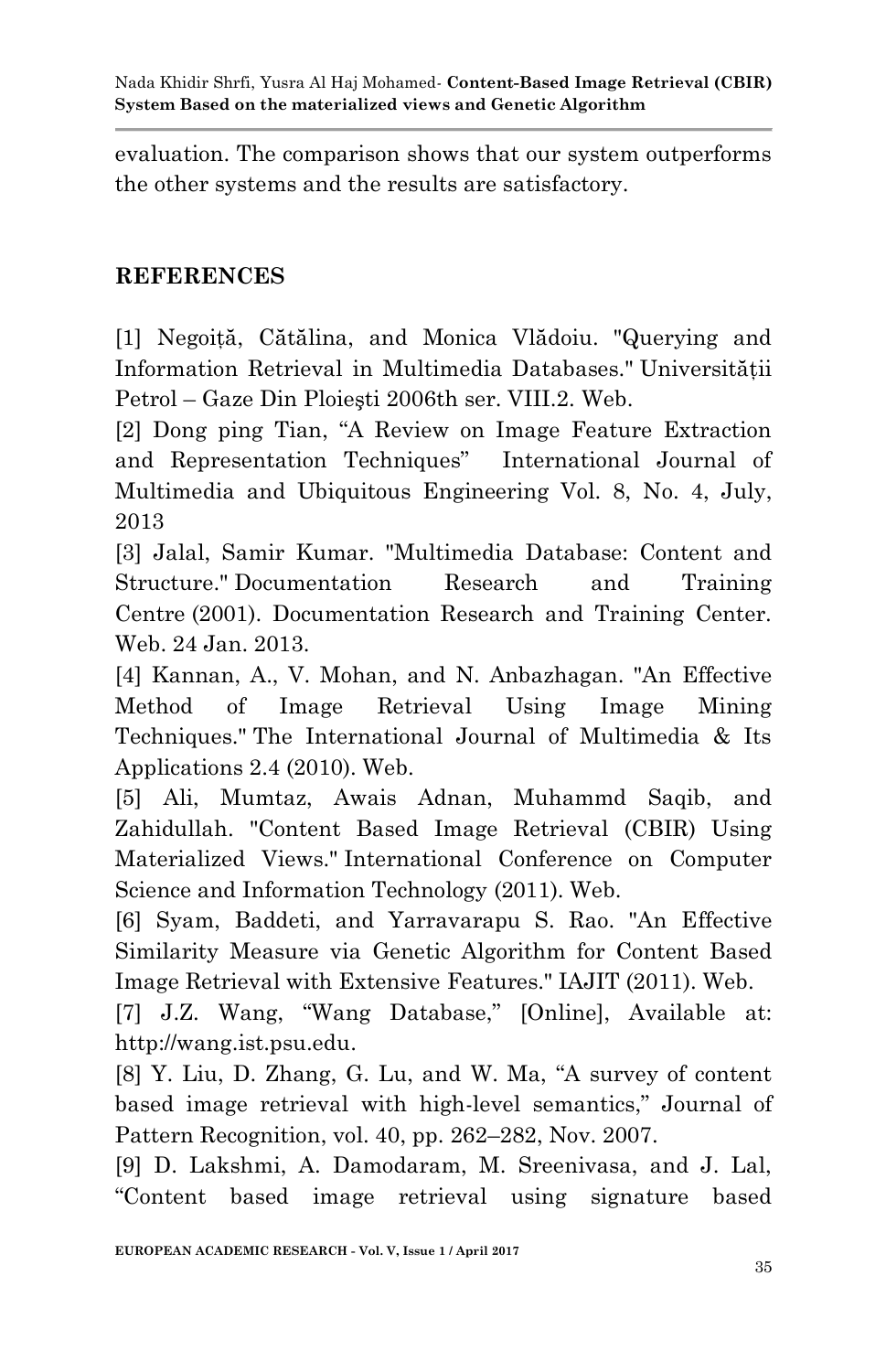evaluation. The comparison shows that our system outperforms the other systems and the results are satisfactory.

### **REFERENCES**

[1] Negoită, Cătălina, and Monica Vlădoiu. "Querying and Information Retrieval in Multimedia Databases." Universităţii Petrol – Gaze Din Ploieşti 2006th ser. VIII.2. Web.

[2] Dong ping Tian, "A Review on Image Feature Extraction and Representation Techniques" International Journal of Multimedia and Ubiquitous Engineering Vol. 8, No. 4, July, 2013

[3] Jalal, Samir Kumar. "Multimedia Database: Content and Structure." Documentation Research and Training Centre (2001). Documentation Research and Training Center. Web. 24 Jan. 2013.

[4] Kannan, A., V. Mohan, and N. Anbazhagan. "An Effective Method of Image Retrieval Using Image Mining Techniques." The International Journal of Multimedia & Its Applications 2.4 (2010). Web.

[5] Ali, Mumtaz, Awais Adnan, Muhammd Saqib, and Zahidullah. "Content Based Image Retrieval (CBIR) Using Materialized Views." International Conference on Computer Science and Information Technology (2011). Web.

[6] Syam, Baddeti, and Yarravarapu S. Rao. "An Effective Similarity Measure via Genetic Algorithm for Content Based Image Retrieval with Extensive Features." IAJIT (2011). Web.

[7] J.Z. Wang, "Wang Database," [Online], Available at: http://wang.ist.psu.edu.

[8] Y. Liu, D. Zhang, G. Lu, and W. Ma, "A survey of content based image retrieval with high-level semantics," Journal of Pattern Recognition, vol. 40, pp. 262–282, Nov. 2007.

[9] D. Lakshmi, A. Damodaram, M. Sreenivasa, and J. Lal, "Content based image retrieval using signature based